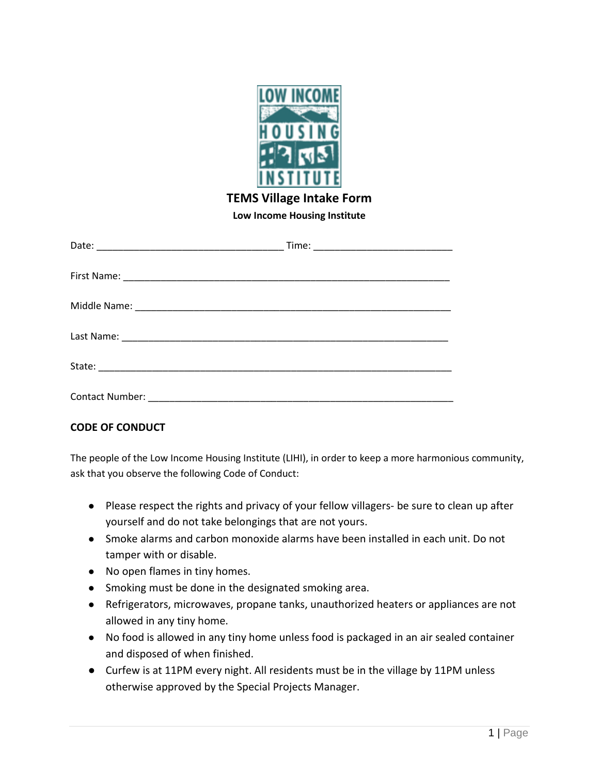

## **TEMS Village Intake Form**

**Low Income Housing Institute**

## **CODE OF CONDUCT**

The people of the Low Income Housing Institute (LIHI), in order to keep a more harmonious community, ask that you observe the following Code of Conduct:

- Please respect the rights and privacy of your fellow villagers- be sure to clean up after yourself and do not take belongings that are not yours.
- Smoke alarms and carbon monoxide alarms have been installed in each unit. Do not tamper with or disable.
- No open flames in tiny homes.
- Smoking must be done in the designated smoking area.
- Refrigerators, microwaves, propane tanks, unauthorized heaters or appliances are not allowed in any tiny home.
- No food is allowed in any tiny home unless food is packaged in an air sealed container and disposed of when finished.
- Curfew is at 11PM every night. All residents must be in the village by 11PM unless otherwise approved by the Special Projects Manager.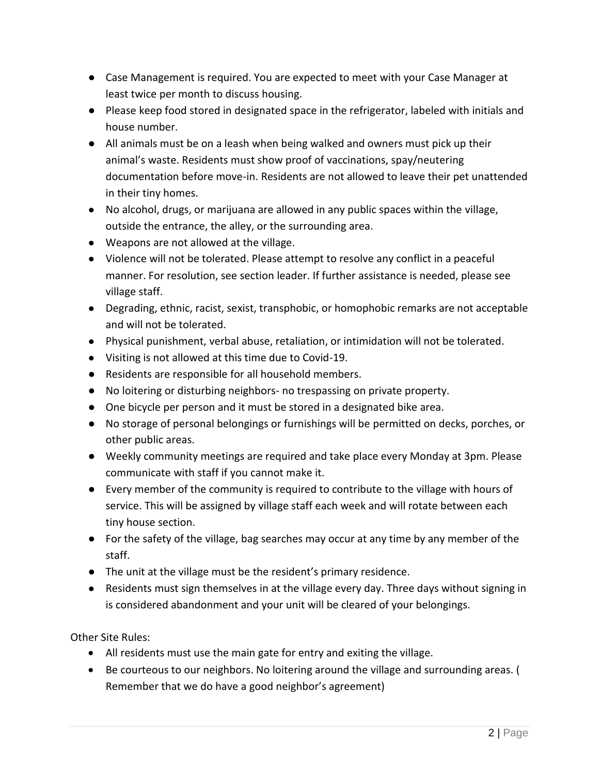- Case Management is required. You are expected to meet with your Case Manager at least twice per month to discuss housing.
- Please keep food stored in designated space in the refrigerator, labeled with initials and house number.
- All animals must be on a leash when being walked and owners must pick up their animal's waste. Residents must show proof of vaccinations, spay/neutering documentation before move-in. Residents are not allowed to leave their pet unattended in their tiny homes.
- No alcohol, drugs, or marijuana are allowed in any public spaces within the village, outside the entrance, the alley, or the surrounding area.
- Weapons are not allowed at the village.
- Violence will not be tolerated. Please attempt to resolve any conflict in a peaceful manner. For resolution, see section leader. If further assistance is needed, please see village staff.
- Degrading, ethnic, racist, sexist, transphobic, or homophobic remarks are not acceptable and will not be tolerated.
- Physical punishment, verbal abuse, retaliation, or intimidation will not be tolerated.
- Visiting is not allowed at this time due to Covid-19.
- Residents are responsible for all household members.
- No loitering or disturbing neighbors- no trespassing on private property.
- One bicycle per person and it must be stored in a designated bike area.
- No storage of personal belongings or furnishings will be permitted on decks, porches, or other public areas.
- Weekly community meetings are required and take place every Monday at 3pm. Please communicate with staff if you cannot make it.
- Every member of the community is required to contribute to the village with hours of service. This will be assigned by village staff each week and will rotate between each tiny house section.
- For the safety of the village, bag searches may occur at any time by any member of the staff.
- The unit at the village must be the resident's primary residence.
- Residents must sign themselves in at the village every day. Three days without signing in is considered abandonment and your unit will be cleared of your belongings.

Other Site Rules:

- All residents must use the main gate for entry and exiting the village.
- Be courteous to our neighbors. No loitering around the village and surrounding areas. ( Remember that we do have a good neighbor's agreement)